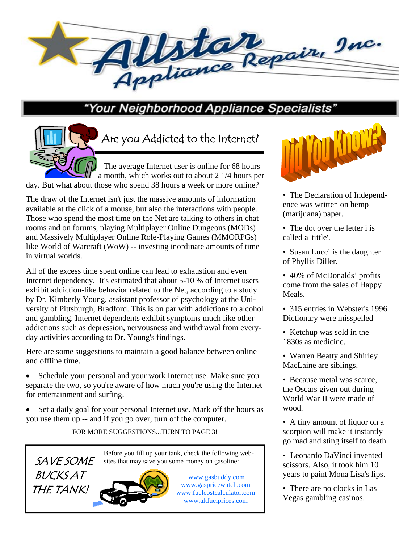

## "Your Neighborhood Appliance Specialists"

 The average Internet user is online for 68 hours a month, which works out to about 2 1/4 hours per Are you Addicted to the Internet?

day. But what about those who spend 38 hours a week or more online?

The draw of the Internet isn't just the massive amounts of information available at the click of a mouse, but also the interactions with people. Those who spend the most time on the Net are talking to others in chat rooms and on forums, playing Multiplayer Online Dungeons (MODs) and Massively Multiplayer Online Role-Playing Games (MMORPGs) like World of Warcraft (WoW) -- investing inordinate amounts of time in virtual worlds.

All of the excess time spent online can lead to exhaustion and even Internet dependency. It's estimated that about 5-10 % of Internet users exhibit addiction-like behavior related to the Net, according to a study by Dr. Kimberly Young, assistant professor of psychology at the University of Pittsburgh, Bradford. This is on par with addictions to alcohol and gambling. Internet dependents exhibit symptoms much like other addictions such as depression, nervousness and withdrawal from everyday activities according to Dr. Young's findings.

Here are some suggestions to maintain a good balance between online and offline time.

- Schedule your personal and your work Internet use. Make sure you separate the two, so you're aware of how much you're using the Internet for entertainment and surfing.
- Set a daily goal for your personal Internet use. Mark off the hours as you use them up -- and if you go over, turn off the computer.

FOR MORE SUGGESTIONS...TURN TO PAGE 3!

Before you fill up your tank, check the following web-

SAVE SOME **BUCKS AT** THE TANK!



www.gasbuddy.com www.gaspricewatch.com www.fuelcostcalculator.com www.altfuelprices.com



- The Declaration of Independence was written on hemp (marijuana) paper.
- The dot over the letter i is called a 'tittle'.
- Susan Lucci is the daughter of Phyllis Diller.
- 40% of McDonalds' profits come from the sales of Happy Meals.
- 315 entries in Webster's 1996 Dictionary were misspelled
- Ketchup was sold in the 1830s as medicine.
- Warren Beatty and Shirley MacLaine are siblings.
- Because metal was scarce, the Oscars given out during World War II were made of wood.
- A tiny amount of liquor on a scorpion will make it instantly go mad and sting itself to death.
- Leonardo DaVinci invented scissors. Also, it took him 10 years to paint Mona Lisa's lips.
- There are no clocks in Las Vegas gambling casinos.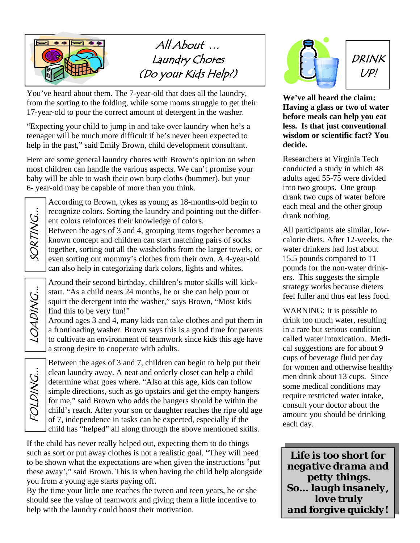

All About … Laundry Chores (Do your Kids Help?)

You've heard about them. The 7-year-old that does all the laundry, from the sorting to the folding, while some moms struggle to get their 17-year-old to pour the correct amount of detergent in the washer.

"Expecting your child to jump in and take over laundry when he's a teenager will be much more difficult if he's never been expected to help in the past," said Emily Brown, child development consultant.

Here are some general laundry chores with Brown's opinion on when most children can handle the various aspects. We can't promise your baby will be able to wash their own burp cloths (bummer), but your 6- year-old may be capable of more than you think.

FOLDING... || LOADING... || SORTING... SORTING...

According to Brown, tykes as young as 18-months-old begin to recognize colors. Sorting the laundry and pointing out the different colors reinforces their knowledge of colors.

Between the ages of 3 and 4, grouping items together becomes a known concept and children can start matching pairs of socks together, sorting out all the washcloths from the larger towels, or even sorting out mommy's clothes from their own. A 4-year-old can also help in categorizing dark colors, lights and whites.

Around their second birthday, children's motor skills will kickstart. "As a child nears 24 months, he or she can help pour or squirt the detergent into the washer," says Brown, "Most kids find this to be very fun!"

Around ages 3 and 4, many kids can take clothes and put them in a frontloading washer. Brown says this is a good time for parents to cultivate an environment of teamwork since kids this age have a strong desire to cooperate with adults.

FOLDING...

Between the ages of 3 and 7, children can begin to help put their clean laundry away. A neat and orderly closet can help a child determine what goes where. "Also at this age, kids can follow simple directions, such as go upstairs and get the empty hangers for me," said Brown who adds the hangers should be within the child's reach. After your son or daughter reaches the ripe old age of 7, independence in tasks can be expected, especially if the child has "helped" all along through the above mentioned skills.

If the child has never really helped out, expecting them to do things such as sort or put away clothes is not a realistic goal. "They will need to be shown what the expectations are when given the instructions 'put these away'," said Brown. This is when having the child help alongside you from a young age starts paying off.

By the time your little one reaches the tween and teen years, he or she should see the value of teamwork and giving them a little incentive to help with the laundry could boost their motivation.



**We've all heard the claim: Having a glass or two of water before meals can help you eat less. Is that just conventional wisdom or scientific fact? You decide.** 

Researchers at Virginia Tech conducted a study in which 48 adults aged 55-75 were divided into two groups. One group drank two cups of water before each meal and the other group drank nothing.

All participants ate similar, lowcalorie diets. After 12-weeks, the water drinkers had lost about 15.5 pounds compared to 11 pounds for the non-water drinkers. This suggests the simple strategy works because dieters feel fuller and thus eat less food.

WARNING: It is possible to drink too much water, resulting in a rare but serious condition called water intoxication. Medical suggestions are for about 9 cups of beverage fluid per day for women and otherwise healthy men drink about 13 cups. Since some medical conditions may require restricted water intake, consult your doctor about the amount you should be drinking each day.

*Life is too short for negative drama and petty things. So... laugh insanely, love truly and forgive quickly!*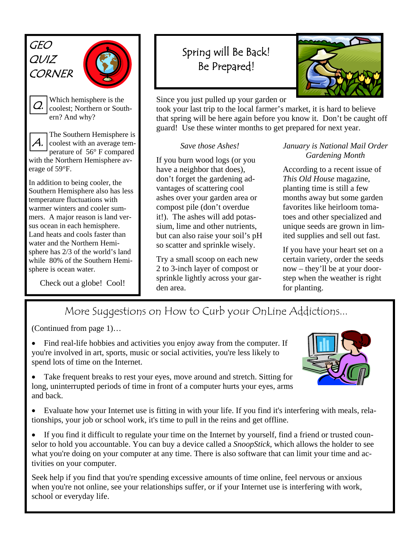GEO QUIZ **CORNER** 



 $\mathcal{Q}_\cdot$ 

Which hemisphere is the coolest; Northern or Southern? And why?

The Southern Hemisphere is coolest with an average temperature of 56° F compared with the Northern Hemisphere average of 59°F. A.

In addition to being cooler, the Southern Hemisphere also has less temperature fluctuations with warmer winters and cooler summers. A major reason is land versus ocean in each hemisphere. Land heats and cools faster than water and the Northern Hemisphere has 2/3 of the world's land while 80% of the Southern Hemisphere is ocean water.

Check out a globe! Cool!

## Spring will Be Back! Be Prepared!



Since you just pulled up your garden or

took your last trip to the local farmer's market, it is hard to believe that spring will be here again before you know it. Don't be caught off guard! Use these winter months to get prepared for next year.

## *Save those Ashes!*

If you burn wood logs (or you have a neighbor that does), don't forget the gardening advantages of scattering cool ashes over your garden area or compost pile (don't overdue it!). The ashes will add potassium, lime and other nutrients, but can also raise your soil's pH so scatter and sprinkle wisely.

Try a small scoop on each new 2 to 3-inch layer of compost or sprinkle lightly across your garden area.

*January is National Mail Order Gardening Month* 

According to a recent issue of *This Old House* magazine, planting time is still a few months away but some garden favorites like heirloom tomatoes and other specialized and unique seeds are grown in limited supplies and sell out fast.

If you have your heart set on a certain variety, order the seeds now – they'll be at your doorstep when the weather is right for planting.

More Suggestions on How to Curb your OnLine Addictions...

(Continued from page 1)…

- Find real-life hobbies and activities you enjoy away from the computer. If you're involved in art, sports, music or social activities, you're less likely to spend lots of time on the Internet.
- 
- Take frequent breaks to rest your eyes, move around and stretch. Sitting for long, uninterrupted periods of time in front of a computer hurts your eyes, arms and back.
- 
- Evaluate how your Internet use is fitting in with your life. If you find it's interfering with meals, relationships, your job or school work, it's time to pull in the reins and get offline.
- If you find it difficult to regulate your time on the Internet by yourself, find a friend or trusted counselor to hold you accountable. You can buy a device called a *SnoopStick*, which allows the holder to see what you're doing on your computer at any time. There is also software that can limit your time and activities on your computer.

Seek help if you find that you're spending excessive amounts of time online, feel nervous or anxious when you're not online, see your relationships suffer, or if your Internet use is interfering with work, school or everyday life.